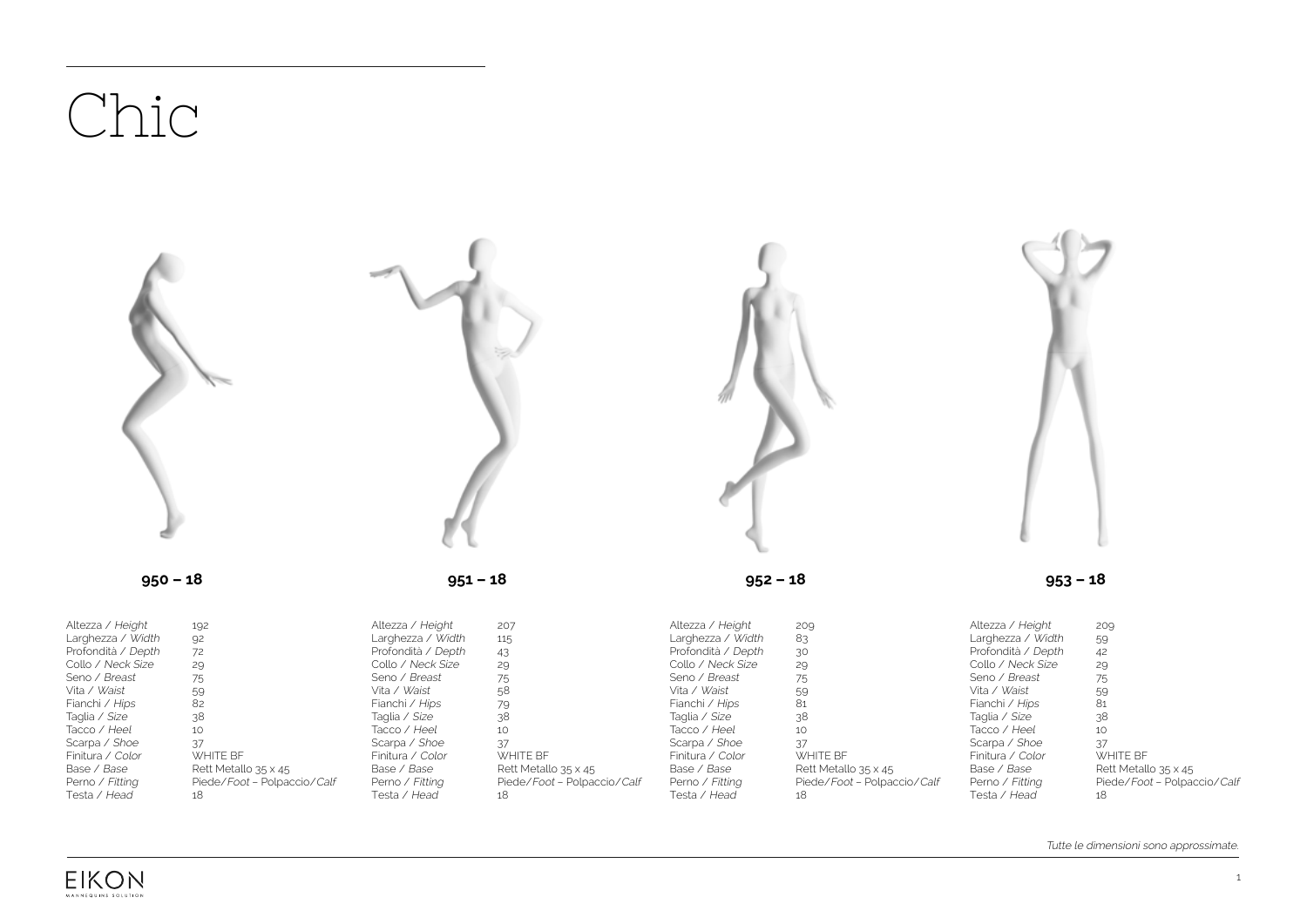## Chic



Perno / Fitting Testa / Head

Piede/Foot – Polpaccio/Calf

Perno / Fitting Testa / Head

18

Piede/Foot – Polpaccio/Calf

18

Rett Metallo 35 x 45 Piede/Foot – Polpaccio/Calf 18

Tutte le dimensioni sono approssimate.



Perno / Fitting Testa / Head

Piede/Foot – Polpaccio/Calf

Perno / Fitting Testa / Head

18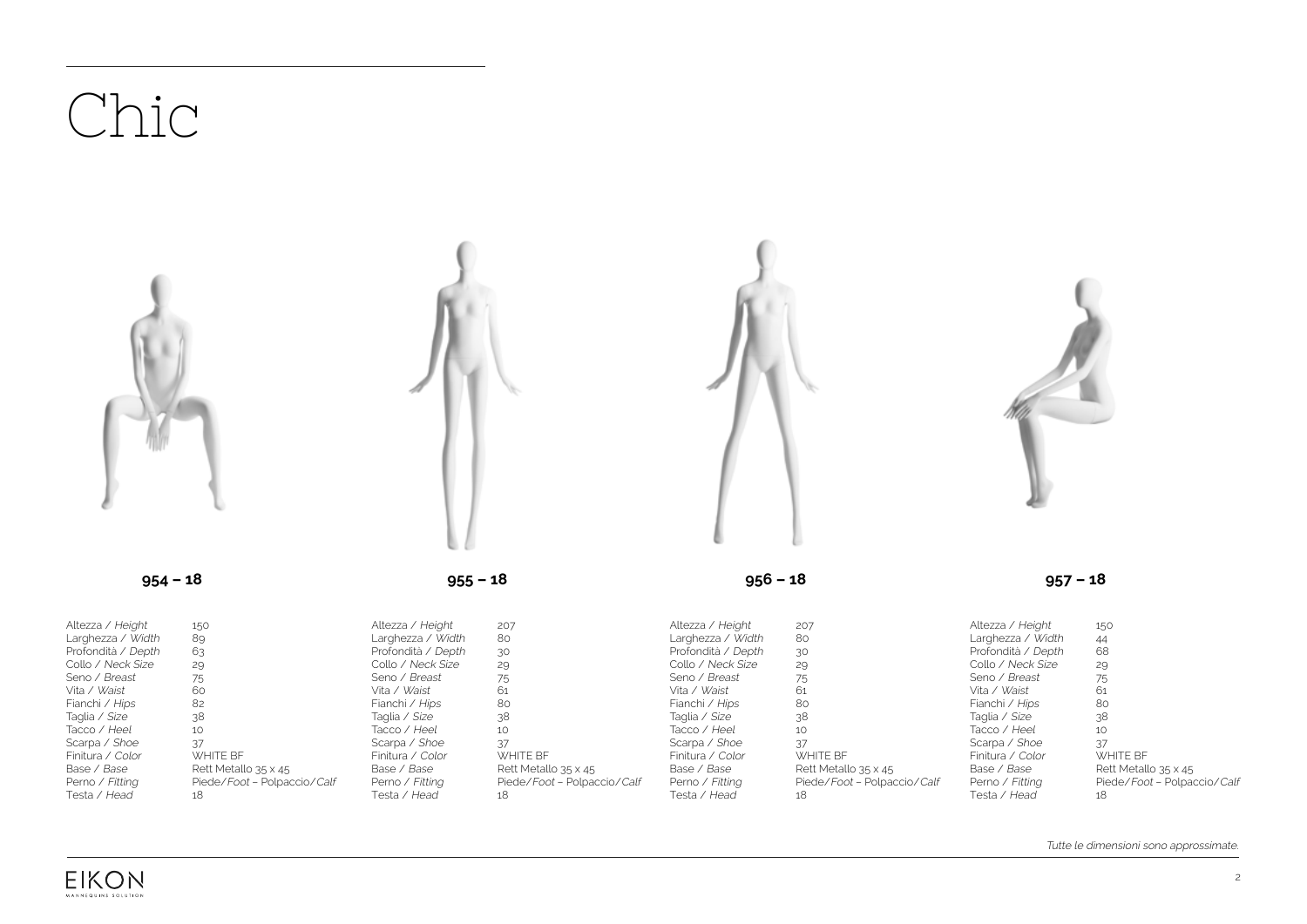## Chic Altezza / Height Larghezza / Width Profondità / Depth Collo / Neck Size Seno / Breast Vita / Waist Fianchi / Hips Taglia / Size Tacco / Heel Scarpa / Shoe Finitura / Color Base / Base Perno / Fitting 150 89 63 29 75 60 82 38 10 37 WHITE BF Rett Metallo 35 x 45 Piede/Foot – Polpaccio/Calf Altezza / Height Larghezza / Width Profondità / Depth Collo / Neck Size Seno / Breast Vita / Waist Fianchi / Hips Taglia / Size Tacco / Heel Scarpa / Shoe Finitura / Color Base / Base Perno / Fitting 207 80 30 29 75 61 80 38 10 37 WHITE BF Rett Metallo 35 x 45 Piede/Foot – Polpaccio/Calf Altezza / Height Larghezza / Width Profondità / Depth Collo / Neck Size Seno / Breast Vita / Waist Fianchi / Hips Taglia / Size Tacco / Heel Scarpa / Shoe Finitura / Color Base / Base Perno / Fitting 207 80 30 29 75 61 80 38 10 37 WHITE BF Rett Metallo 35 x 45 Piede/Foot – Polpaccio/Calf Altezza / Height Larghezza / Width Profondità / Depth Collo / Neck Size Seno / Breast Vita / Waist Fianchi / Hips Taglia / Size Tacco / Heel Scarpa / Shoe Finitura / Color Base / Base Perno / Fitting **954 – 18 955 – 18 956 – 18 957 – 18**

Tutte le dimensioni sono approssimate.

150 44 68 29 75 61 80 38 10 37 WHITE BF Rett Metallo 35 x 45 Piede/Foot – Polpaccio/Calf

18

Testa / Head



Testa / Head

18

Testa / Head

18

Testa / Head

18